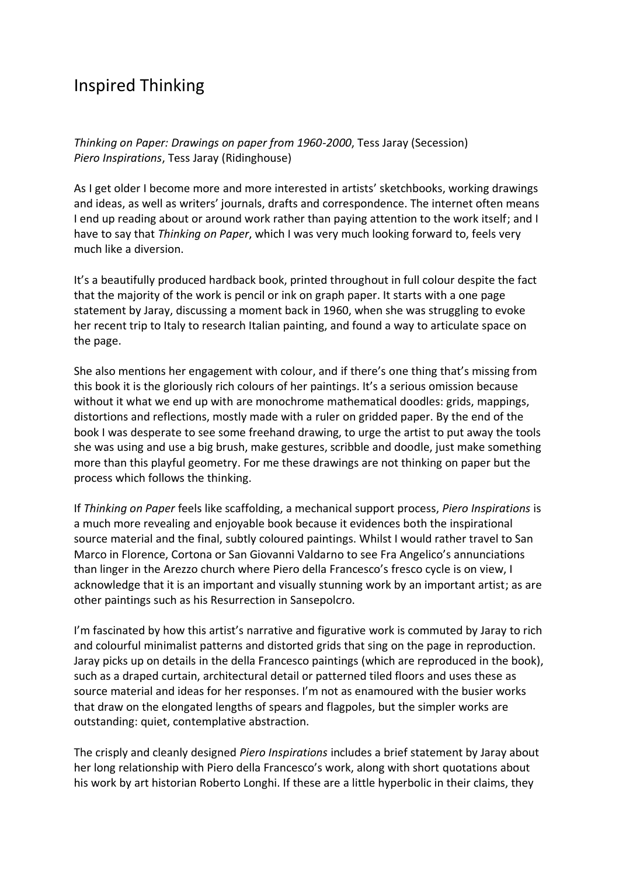## Inspired Thinking

*Thinking on Paper: Drawings on paper from 1960-2000*, Tess Jaray (Secession) *Piero Inspirations*, Tess Jaray (Ridinghouse)

As I get older I become more and more interested in artists' sketchbooks, working drawings and ideas, as well as writers' journals, drafts and correspondence. The internet often means I end up reading about or around work rather than paying attention to the work itself; and I have to say that *Thinking on Paper*, which I was very much looking forward to, feels very much like a diversion.

It's a beautifully produced hardback book, printed throughout in full colour despite the fact that the majority of the work is pencil or ink on graph paper. It starts with a one page statement by Jaray, discussing a moment back in 1960, when she was struggling to evoke her recent trip to Italy to research Italian painting, and found a way to articulate space on the page.

She also mentions her engagement with colour, and if there's one thing that's missing from this book it is the gloriously rich colours of her paintings. It's a serious omission because without it what we end up with are monochrome mathematical doodles: grids, mappings, distortions and reflections, mostly made with a ruler on gridded paper. By the end of the book I was desperate to see some freehand drawing, to urge the artist to put away the tools she was using and use a big brush, make gestures, scribble and doodle, just make something more than this playful geometry. For me these drawings are not thinking on paper but the process which follows the thinking.

If *Thinking on Paper* feels like scaffolding, a mechanical support process, *Piero Inspirations* is a much more revealing and enjoyable book because it evidences both the inspirational source material and the final, subtly coloured paintings. Whilst I would rather travel to San Marco in Florence, Cortona or San Giovanni Valdarno to see Fra Angelico's annunciations than linger in the Arezzo church where Piero della Francesco's fresco cycle is on view, I acknowledge that it is an important and visually stunning work by an important artist; as are other paintings such as his Resurrection in Sansepolcro.

I'm fascinated by how this artist's narrative and figurative work is commuted by Jaray to rich and colourful minimalist patterns and distorted grids that sing on the page in reproduction. Jaray picks up on details in the della Francesco paintings (which are reproduced in the book), such as a draped curtain, architectural detail or patterned tiled floors and uses these as source material and ideas for her responses. I'm not as enamoured with the busier works that draw on the elongated lengths of spears and flagpoles, but the simpler works are outstanding: quiet, contemplative abstraction.

The crisply and cleanly designed *Piero Inspirations* includes a brief statement by Jaray about her long relationship with Piero della Francesco's work, along with short quotations about his work by art historian Roberto Longhi. If these are a little hyperbolic in their claims, they